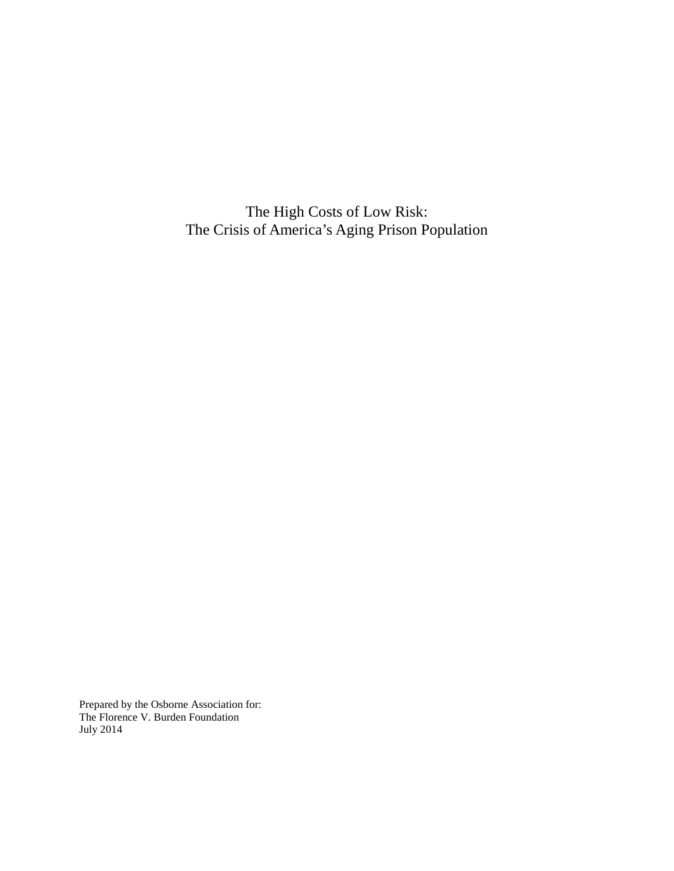The High Costs of Low Risk: The Crisis of America's Aging Prison Population

Prepared by the Osborne Association for: The Florence V. Burden Foundation July 2014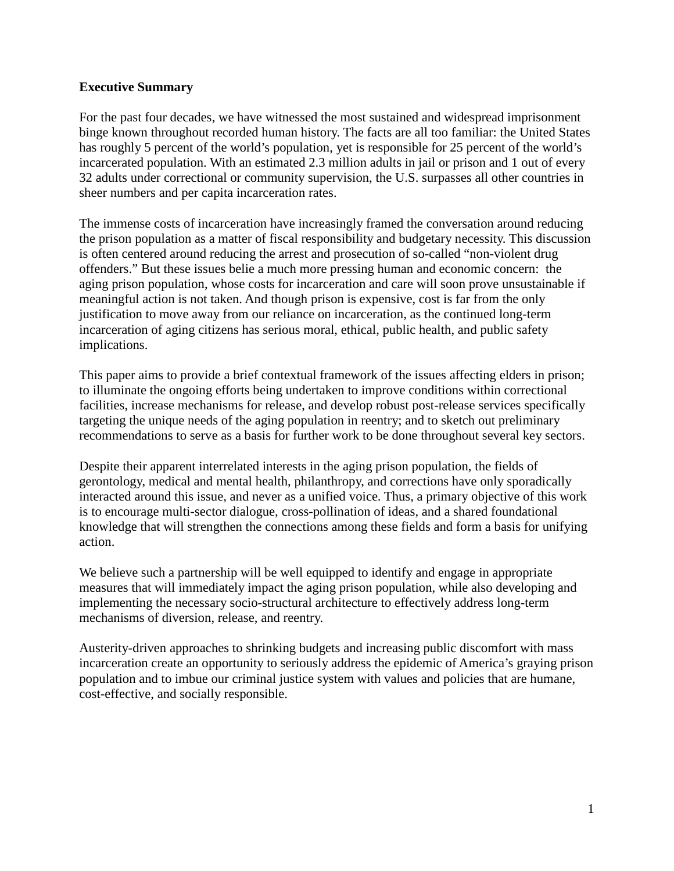#### **Executive Summary**

For the past four decades, we have witnessed the most sustained and widespread imprisonment binge known throughout recorded human history. The facts are all too familiar: the United States has roughly 5 percent of the world's population, yet is responsible for 25 percent of the world's incarcerated population. With an estimated 2.3 million adults in jail or prison and 1 out of every 32 adults under correctional or community supervision, the U.S. surpasses all other countries in sheer numbers and per capita incarceration rates.

The immense costs of incarceration have increasingly framed the conversation around reducing the prison population as a matter of fiscal responsibility and budgetary necessity. This discussion is often centered around reducing the arrest and prosecution of so-called "non-violent drug offenders." But these issues belie a much more pressing human and economic concern: the aging prison population, whose costs for incarceration and care will soon prove unsustainable if meaningful action is not taken. And though prison is expensive, cost is far from the only justification to move away from our reliance on incarceration, as the continued long-term incarceration of aging citizens has serious moral, ethical, public health, and public safety implications.

This paper aims to provide a brief contextual framework of the issues affecting elders in prison; to illuminate the ongoing efforts being undertaken to improve conditions within correctional facilities, increase mechanisms for release, and develop robust post-release services specifically targeting the unique needs of the aging population in reentry; and to sketch out preliminary recommendations to serve as a basis for further work to be done throughout several key sectors.

Despite their apparent interrelated interests in the aging prison population, the fields of gerontology, medical and mental health, philanthropy, and corrections have only sporadically interacted around this issue, and never as a unified voice. Thus, a primary objective of this work is to encourage multi-sector dialogue, cross-pollination of ideas, and a shared foundational knowledge that will strengthen the connections among these fields and form a basis for unifying action.

We believe such a partnership will be well equipped to identify and engage in appropriate measures that will immediately impact the aging prison population, while also developing and implementing the necessary socio-structural architecture to effectively address long-term mechanisms of diversion, release, and reentry.

Austerity-driven approaches to shrinking budgets and increasing public discomfort with mass incarceration create an opportunity to seriously address the epidemic of America's graying prison population and to imbue our criminal justice system with values and policies that are humane, cost-effective, and socially responsible.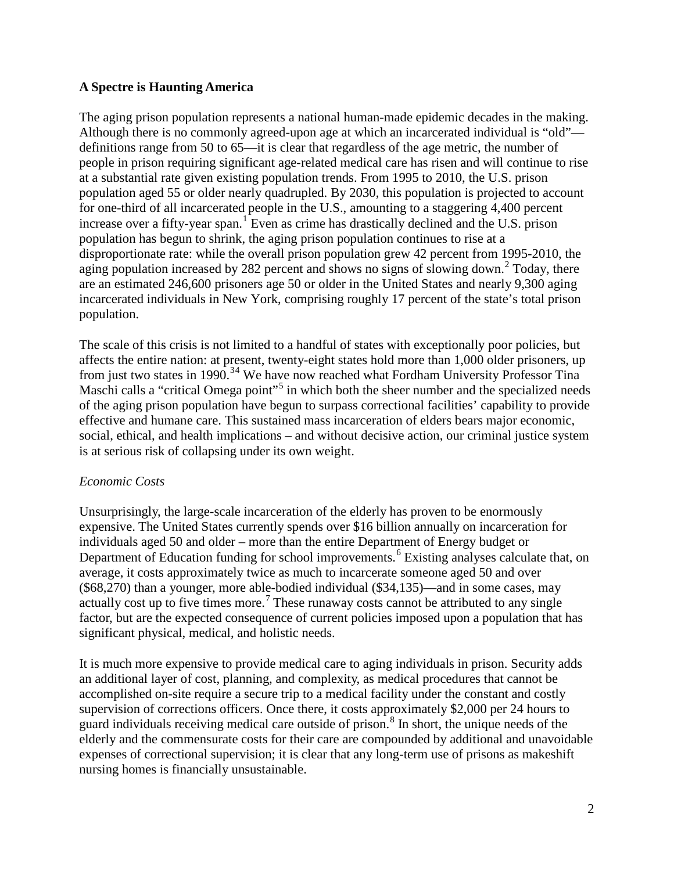## **A Spectre is Haunting America**

The aging prison population represents a national human-made epidemic decades in the making. Although there is no commonly agreed-upon age at which an incarcerated individual is "old" definitions range from 50 to 65—it is clear that regardless of the age metric, the number of people in prison requiring significant age-related medical care has risen and will continue to rise at a substantial rate given existing population trends. From 1995 to 2010, the U.S. prison population aged 55 or older nearly quadrupled. By 2030, this population is projected to account for one-third of all incarcerated people in the U.S., amounting to a staggering 4,400 percent increase over a fifty-year span.<sup>[1](#page-15-0)</sup> Even as crime has drastically declined and the U.S. prison population has begun to shrink, the aging prison population continues to rise at a disproportionate rate: while the overall prison population grew 42 percent from 1995-2010, the aging population increased by [2](#page-15-1)82 percent and shows no signs of slowing down.<sup>2</sup> Today, there are an estimated 246,600 prisoners age 50 or older in the United States and nearly 9,300 aging incarcerated individuals in New York, comprising roughly 17 percent of the state's total prison population.

The scale of this crisis is not limited to a handful of states with exceptionally poor policies, but affects the entire nation: at present, twenty-eight states hold more than 1,000 older prisoners, up from just two states in 1990.<sup>[3](#page-15-2)[4](#page-15-3)</sup> We have now reached what Fordham University Professor Tina Maschi calls a "critical Omega point"<sup>[5](#page-15-4)</sup> in which both the sheer number and the specialized needs of the aging prison population have begun to surpass correctional facilities' capability to provide effective and humane care. This sustained mass incarceration of elders bears major economic, social, ethical, and health implications – and without decisive action, our criminal justice system is at serious risk of collapsing under its own weight.

## *Economic Costs*

Unsurprisingly, the large-scale incarceration of the elderly has proven to be enormously expensive. The United States currently spends over \$16 billion annually on incarceration for individuals aged 50 and older – more than the entire Department of Energy budget or Department of Education funding for school improvements.<sup>[6](#page-15-5)</sup> Existing analyses calculate that, on average, it costs approximately twice as much to incarcerate someone aged 50 and over (\$68,270) than a younger, more able-bodied individual (\$34,135)—and in some cases, may actually cost up to five times more.<sup>[7](#page-15-6)</sup> These runaway costs cannot be attributed to any single factor, but are the expected consequence of current policies imposed upon a population that has significant physical, medical, and holistic needs.

It is much more expensive to provide medical care to aging individuals in prison. Security adds an additional layer of cost, planning, and complexity, as medical procedures that cannot be accomplished on-site require a secure trip to a medical facility under the constant and costly supervision of corrections officers. Once there, it costs approximately \$2,000 per 24 hours to guard individuals receiving medical care outside of prison.<sup>[8](#page-15-7)</sup> In short, the unique needs of the elderly and the commensurate costs for their care are compounded by additional and unavoidable expenses of correctional supervision; it is clear that any long-term use of prisons as makeshift nursing homes is financially unsustainable.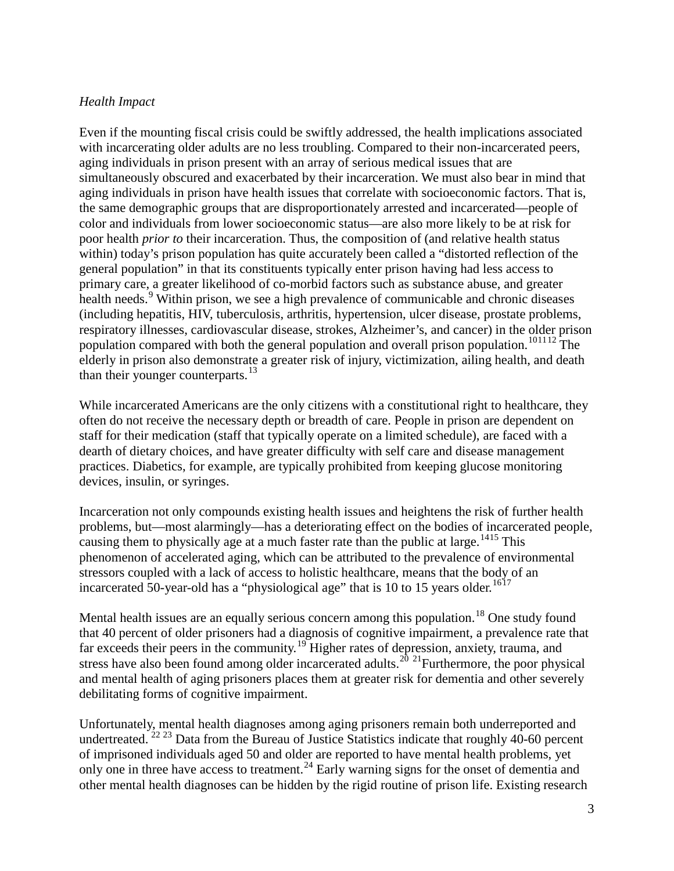#### *Health Impact*

Even if the mounting fiscal crisis could be swiftly addressed, the health implications associated with incarcerating older adults are no less troubling. Compared to their non-incarcerated peers, aging individuals in prison present with an array of serious medical issues that are simultaneously obscured and exacerbated by their incarceration. We must also bear in mind that aging individuals in prison have health issues that correlate with socioeconomic factors. That is, the same demographic groups that are disproportionately arrested and incarcerated—people of color and individuals from lower socioeconomic status—are also more likely to be at risk for poor health *prior to* their incarceration. Thus, the composition of (and relative health status within) today's prison population has quite accurately been called a "distorted reflection of the general population" in that its constituents typically enter prison having had less access to primary care, a greater likelihood of co-morbid factors such as substance abuse, and greater health needs.<sup>[9](#page-15-8)</sup> Within prison, we see a high prevalence of communicable and chronic diseases (including hepatitis, HIV, tuberculosis, arthritis, hypertension, ulcer disease, prostate problems, respiratory illnesses, cardiovascular disease, strokes, Alzheimer's, and cancer) in the older prison population compared with both the general population and overall prison population.<sup>[10](#page-15-9)[11](#page-16-0)[12](#page-16-1)</sup> The elderly in prison also demonstrate a greater risk of injury, victimization, ailing health, and death than their younger counterparts.<sup>13</sup>

While incarcerated Americans are the only citizens with a constitutional right to healthcare, they often do not receive the necessary depth or breadth of care. People in prison are dependent on staff for their medication (staff that typically operate on a limited schedule), are faced with a dearth of dietary choices, and have greater difficulty with self care and disease management practices. Diabetics, for example, are typically prohibited from keeping glucose monitoring devices, insulin, or syringes.

Incarceration not only compounds existing health issues and heightens the risk of further health problems, but—most alarmingly—has a deteriorating effect on the bodies of incarcerated people, causing them to physically age at a much faster rate than the public at large.<sup>[14](#page-16-3)[15](#page-16-4)</sup> This phenomenon of accelerated aging, which can be attributed to the prevalence of environmental stressors coupled with a lack of access to holistic healthcare, means that the body of an incarcerated 50-year-old has a "physiological age" that is 10 to 15 years older.<sup>[16](#page-16-5)17</sup>

Mental health issues are an equally serious concern among this population.<sup>[18](#page-16-7)</sup> One study found that 40 percent of older prisoners had a diagnosis of cognitive impairment, a prevalence rate that far exceeds their peers in the community.<sup>[19](#page-16-8)</sup> Higher rates of depression, anxiety, trauma, and stress have also been found among older incarcerated adults.<sup>[20](#page-16-9) [21](#page-16-10)</sup>Furthermore, the poor physical and mental health of aging prisoners places them at greater risk for dementia and other severely debilitating forms of cognitive impairment.

Unfortunately, mental health diagnoses among aging prisoners remain both underreported and undertreated.  $^{22}$  $^{22}$  $^{22}$  <sup>[23](#page-16-12)</sup> Data from the Bureau of Justice Statistics indicate that roughly 40-60 percent of imprisoned individuals aged 50 and older are reported to have mental health problems, yet only one in three have access to treatment.<sup>24</sup> Early warning signs for the onset of dementia and other mental health diagnoses can be hidden by the rigid routine of prison life. Existing research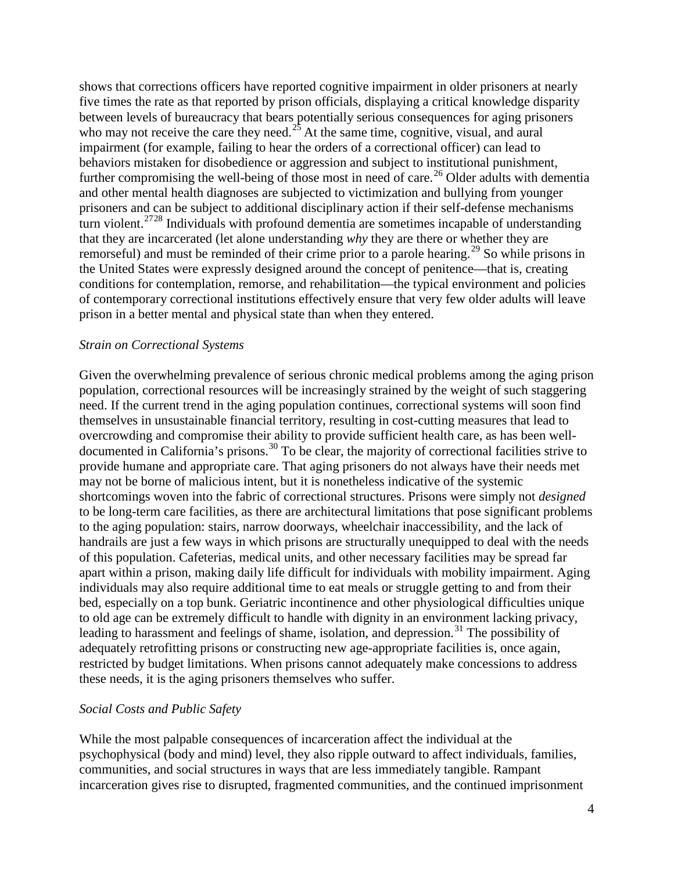shows that corrections officers have reported cognitive impairment in older prisoners at nearly five times the rate as that reported by prison officials, displaying a critical knowledge disparity between levels of bureaucracy that bears potentially serious consequences for aging prisoners who may not receive the care they need.<sup>[25](#page-16-14)</sup> At the same time, cognitive, visual, and aural impairment (for example, failing to hear the orders of a correctional officer) can lead to behaviors mistaken for disobedience or aggression and subject to institutional punishment, further compromising the well-being of those most in need of care.<sup>[26](#page-16-15)</sup> Older adults with dementia and other mental health diagnoses are subjected to victimization and bullying from younger prisoners and can be subject to additional disciplinary action if their self-defense mechanisms turn violent.<sup>[27](#page-16-16)28</sup> Individuals with profound dementia are sometimes incapable of understanding that they are incarcerated (let alone understanding *why* they are there or whether they are remorseful) and must be reminded of their crime prior to a parole hearing.<sup>[29](#page-16-18)</sup> So while prisons in the United States were expressly designed around the concept of penitence—that is, creating conditions for contemplation, remorse, and rehabilitation—the typical environment and policies of contemporary correctional institutions effectively ensure that very few older adults will leave prison in a better mental and physical state than when they entered.

#### *Strain on Correctional Systems*

Given the overwhelming prevalence of serious chronic medical problems among the aging prison population, correctional resources will be increasingly strained by the weight of such staggering need. If the current trend in the aging population continues, correctional systems will soon find themselves in unsustainable financial territory, resulting in cost-cutting measures that lead to overcrowding and compromise their ability to provide sufficient health care, as has been welldocumented in California's prisons.[30](#page-16-19) To be clear, the majority of correctional facilities strive to provide humane and appropriate care. That aging prisoners do not always have their needs met may not be borne of malicious intent, but it is nonetheless indicative of the systemic shortcomings woven into the fabric of correctional structures. Prisons were simply not *designed* to be long-term care facilities, as there are architectural limitations that pose significant problems to the aging population: stairs, narrow doorways, wheelchair inaccessibility, and the lack of handrails are just a few ways in which prisons are structurally unequipped to deal with the needs of this population. Cafeterias, medical units, and other necessary facilities may be spread far apart within a prison, making daily life difficult for individuals with mobility impairment. Aging individuals may also require additional time to eat meals or struggle getting to and from their bed, especially on a top bunk. Geriatric incontinence and other physiological difficulties unique to old age can be extremely difficult to handle with dignity in an environment lacking privacy, leading to harassment and feelings of shame, isolation, and depression.<sup>[31](#page-16-20)</sup> The possibility of adequately retrofitting prisons or constructing new age-appropriate facilities is, once again, restricted by budget limitations. When prisons cannot adequately make concessions to address these needs, it is the aging prisoners themselves who suffer.

#### *Social Costs and Public Safety*

While the most palpable consequences of incarceration affect the individual at the psychophysical (body and mind) level, they also ripple outward to affect individuals, families, communities, and social structures in ways that are less immediately tangible. Rampant incarceration gives rise to disrupted, fragmented communities, and the continued imprisonment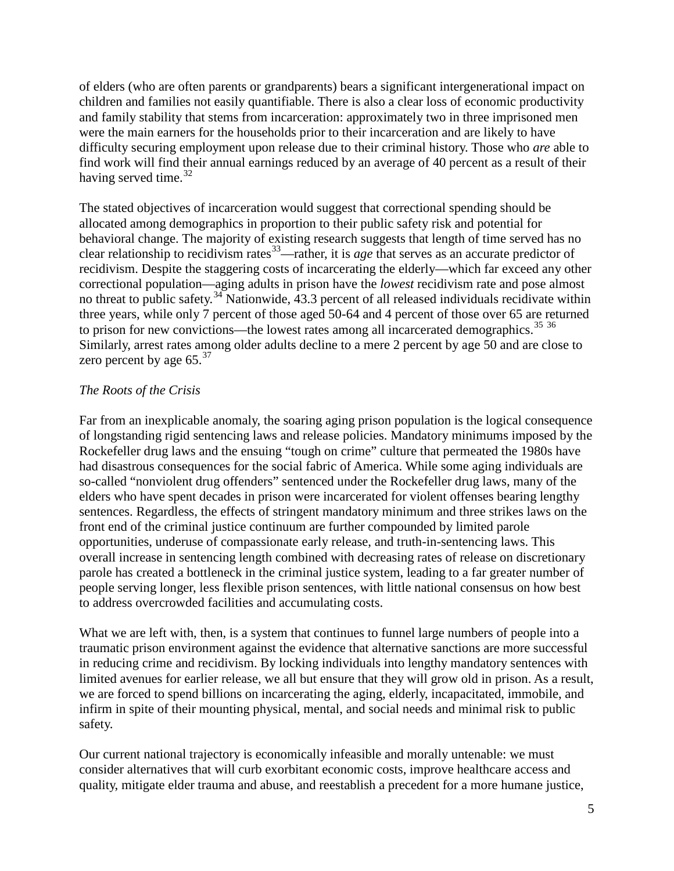of elders (who are often parents or grandparents) bears a significant intergenerational impact on children and families not easily quantifiable. There is also a clear loss of economic productivity and family stability that stems from incarceration: approximately two in three imprisoned men were the main earners for the households prior to their incarceration and are likely to have difficulty securing employment upon release due to their criminal history. Those who *are* able to find work will find their annual earnings reduced by an average of 40 percent as a result of their having served time. $32$ 

The stated objectives of incarceration would suggest that correctional spending should be allocated among demographics in proportion to their public safety risk and potential for behavioral change. The majority of existing research suggests that length of time served has no clear relationship to recidivism rates<sup>[33](#page-16-22)</sup>—rather, it is *age* that serves as an accurate predictor of recidivism. Despite the staggering costs of incarcerating the elderly—which far exceed any other correctional population—aging adults in prison have the *lowest* recidivism rate and pose almost no threat to public safety.<sup>[34](#page-16-23)</sup> Nationwide, 43.3 percent of all released individuals recidivate within three years, while only 7 percent of those aged 50-64 and 4 percent of those over 65 are returned to prison for new convictions—the lowest rates among all incarcerated demographics.<sup>[35](#page-16-24)</sup> [36](#page-16-25) Similarly, arrest rates among older adults decline to a mere 2 percent by age 50 and are close to zero percent by age  $65.^{37}$  $65.^{37}$  $65.^{37}$ 

#### *The Roots of the Crisis*

Far from an inexplicable anomaly, the soaring aging prison population is the logical consequence of longstanding rigid sentencing laws and release policies. Mandatory minimums imposed by the Rockefeller drug laws and the ensuing "tough on crime" culture that permeated the 1980s have had disastrous consequences for the social fabric of America. While some aging individuals are so-called "nonviolent drug offenders" sentenced under the Rockefeller drug laws, many of the elders who have spent decades in prison were incarcerated for violent offenses bearing lengthy sentences. Regardless, the effects of stringent mandatory minimum and three strikes laws on the front end of the criminal justice continuum are further compounded by limited parole opportunities, underuse of compassionate early release, and truth-in-sentencing laws. This overall increase in sentencing length combined with decreasing rates of release on discretionary parole has created a bottleneck in the criminal justice system, leading to a far greater number of people serving longer, less flexible prison sentences, with little national consensus on how best to address overcrowded facilities and accumulating costs.

What we are left with, then, is a system that continues to funnel large numbers of people into a traumatic prison environment against the evidence that alternative sanctions are more successful in reducing crime and recidivism. By locking individuals into lengthy mandatory sentences with limited avenues for earlier release, we all but ensure that they will grow old in prison. As a result, we are forced to spend billions on incarcerating the aging, elderly, incapacitated, immobile, and infirm in spite of their mounting physical, mental, and social needs and minimal risk to public safety.

Our current national trajectory is economically infeasible and morally untenable: we must consider alternatives that will curb exorbitant economic costs, improve healthcare access and quality, mitigate elder trauma and abuse, and reestablish a precedent for a more humane justice,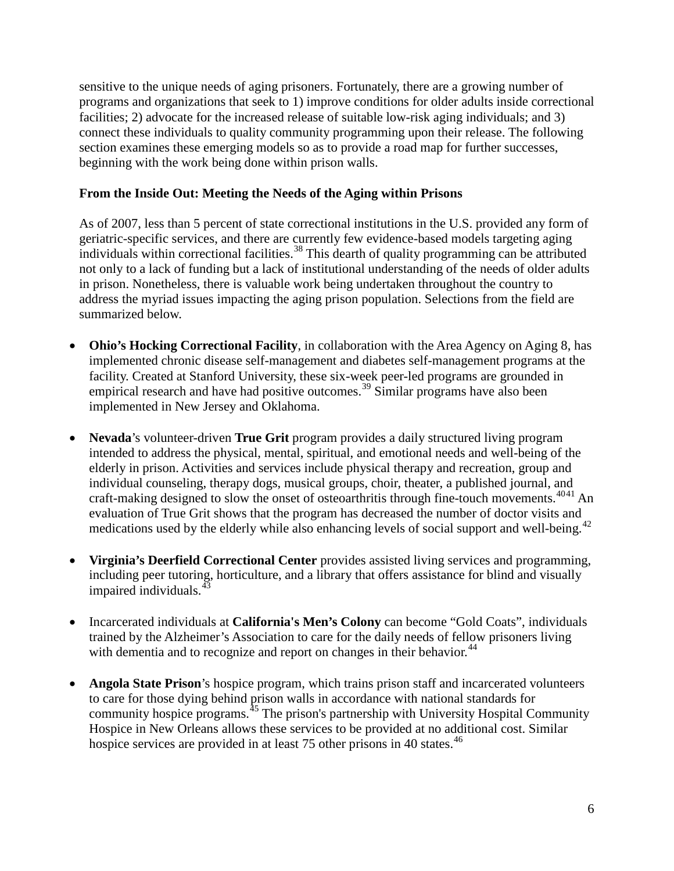sensitive to the unique needs of aging prisoners. Fortunately, there are a growing number of programs and organizations that seek to 1) improve conditions for older adults inside correctional facilities; 2) advocate for the increased release of suitable low-risk aging individuals; and 3) connect these individuals to quality community programming upon their release. The following section examines these emerging models so as to provide a road map for further successes, beginning with the work being done within prison walls.

#### **From the Inside Out: Meeting the Needs of the Aging within Prisons**

As of 2007, less than 5 percent of state correctional institutions in the U.S. provided any form of geriatric-specific services, and there are currently few evidence-based models targeting aging individuals within correctional facilities. [38](#page-16-27) This dearth of quality programming can be attributed not only to a lack of funding but a lack of institutional understanding of the needs of older adults in prison. Nonetheless, there is valuable work being undertaken throughout the country to address the myriad issues impacting the aging prison population. Selections from the field are summarized below.

- **Ohio's Hocking Correctional Facility**, in collaboration with the Area Agency on Aging 8, has implemented chronic disease self-management and diabetes self-management programs at the facility. Created at Stanford University, these six-week peer-led programs are grounded in empirical research and have had positive outcomes.<sup>[39](#page-16-28)</sup> Similar programs have also been implemented in New Jersey and Oklahoma.
- **Nevada**'s volunteer-driven **True Grit** program provides a daily structured living program intended to address the physical, mental, spiritual, and emotional needs and well-being of the elderly in prison. Activities and services include physical therapy and recreation, group and individual counseling, therapy dogs, musical groups, choir, theater, a published journal, and craft-making designed to slow the onset of osteoarthritis through fine-touch movements.<sup>[40](#page-17-0)[41](#page-17-1)</sup> An evaluation of True Grit shows that the program has decreased the number of doctor visits and medications used by the elderly while also enhancing levels of social support and well-being.<sup>[42](#page-17-2)</sup>
- **Virginia's Deerfield Correctional Center** provides assisted living services and programming, including peer tutoring, horticulture, and a library that offers assistance for blind and visually impaired individuals.<sup>[43](#page-17-3)</sup>
- Incarcerated individuals at **California's Men's Colony** can become "Gold Coats", individuals trained by the Alzheimer's Association to care for the daily needs of fellow prisoners living with dementia and to recognize and report on changes in their behavior.<sup>44</sup>
- **Angola State Prison**'s hospice program, which trains prison staff and incarcerated volunteers to care for those dying behind prison walls in accordance with national standards for community hospice programs.<sup>[45](#page-17-5)</sup> The prison's partnership with University Hospital Community Hospice in New Orleans allows these services to be provided at no additional cost. Similar hospice services are provided in at least 75 other prisons in 40 states.<sup>[46](#page-17-6)</sup>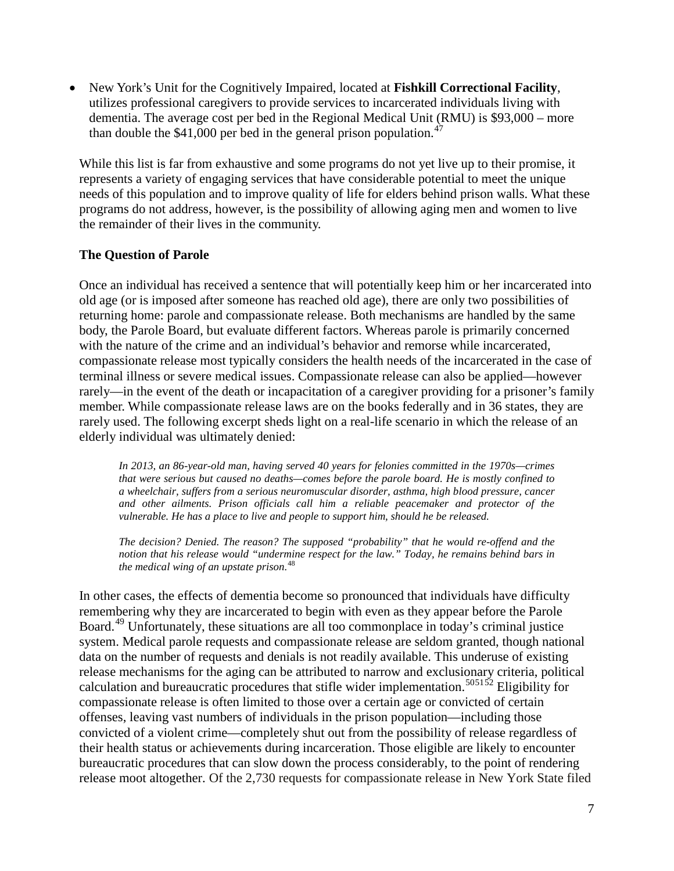• New York's Unit for the Cognitively Impaired, located at **Fishkill Correctional Facility**, utilizes professional caregivers to provide services to incarcerated individuals living with dementia. The average cost per bed in the Regional Medical Unit (RMU) is \$93,000 – more than double the  $$41,000$  per bed in the general prison population.<sup>[47](#page-17-7)</sup>

While this list is far from exhaustive and some programs do not yet live up to their promise, it represents a variety of engaging services that have considerable potential to meet the unique needs of this population and to improve quality of life for elders behind prison walls. What these programs do not address, however, is the possibility of allowing aging men and women to live the remainder of their lives in the community.

#### **The Question of Parole**

Once an individual has received a sentence that will potentially keep him or her incarcerated into old age (or is imposed after someone has reached old age), there are only two possibilities of returning home: parole and compassionate release. Both mechanisms are handled by the same body, the Parole Board, but evaluate different factors. Whereas parole is primarily concerned with the nature of the crime and an individual's behavior and remorse while incarcerated, compassionate release most typically considers the health needs of the incarcerated in the case of terminal illness or severe medical issues. Compassionate release can also be applied—however rarely—in the event of the death or incapacitation of a caregiver providing for a prisoner's family member. While compassionate release laws are on the books federally and in 36 states, they are rarely used. The following excerpt sheds light on a real-life scenario in which the release of an elderly individual was ultimately denied:

*In 2013, an 86-year-old man, having served 40 years for felonies committed in the 1970s—crimes that were serious but caused no deaths—comes before the parole board. He is mostly confined to a wheelchair, suffers from a serious neuromuscular disorder, asthma, high blood pressure, cancer and other ailments. Prison officials call him a reliable peacemaker and protector of the vulnerable. He has a place to live and people to support him, should he be released.*

*The decision? Denied. The reason? The supposed "probability" that he would re-offend and the notion that his release would "undermine respect for the law." Today, he remains behind bars in the medical wing of an upstate prison.*[48](#page-17-8)

In other cases, the effects of dementia become so pronounced that individuals have difficulty remembering why they are incarcerated to begin with even as they appear before the Parole Board.<sup>[49](#page-17-9)</sup> Unfortunately, these situations are all too commonplace in today's criminal justice system. Medical parole requests and compassionate release are seldom granted, though national data on the number of requests and denials is not readily available. This underuse of existing release mechanisms for the aging can be attributed to narrow and exclusionary criteria, political calculation and bureaucratic procedures that stifle wider implementation.<sup>[50](#page-17-10)[51](#page-17-11)[52](#page-17-12)</sup> Eligibility for compassionate release is often limited to those over a certain age or convicted of certain offenses, leaving vast numbers of individuals in the prison population—including those convicted of a violent crime—completely shut out from the possibility of release regardless of their health status or achievements during incarceration. Those eligible are likely to encounter bureaucratic procedures that can slow down the process considerably, to the point of rendering release moot altogether. Of the 2,730 requests for compassionate release in New York State filed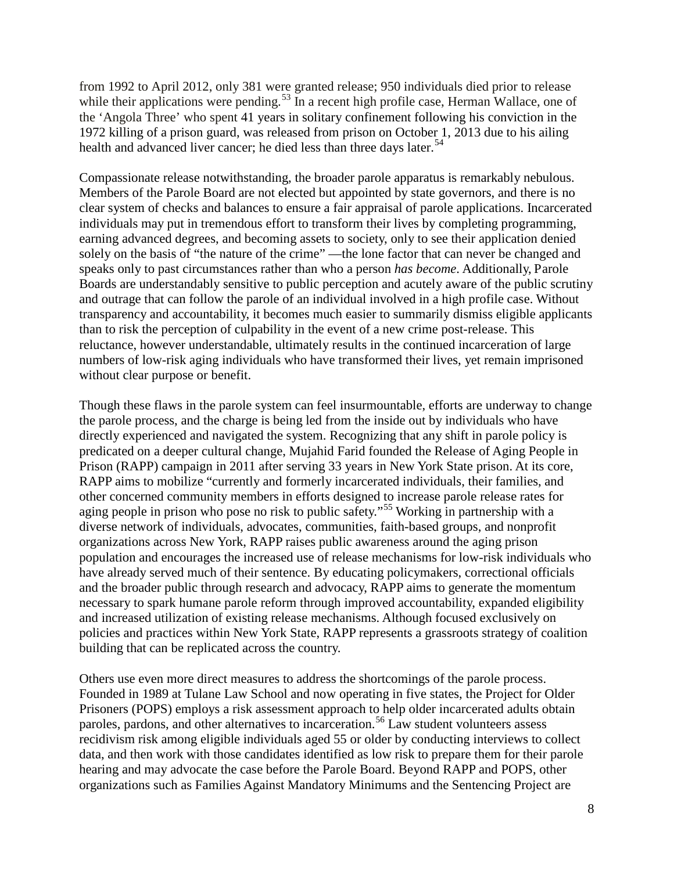from 1992 to April 2012, only 381 were granted release; 950 individuals died prior to release while their applications were pending.<sup>[53](#page-17-13)</sup> In a recent high profile case, Herman Wallace, one of the 'Angola Three' who spent 41 years in solitary confinement following his conviction in the 1972 killing of a prison guard, was released from prison on October 1, 2013 due to his ailing health and advanced liver cancer; he died less than three days later.<sup>[54](#page-17-14)</sup>

Compassionate release notwithstanding, the broader parole apparatus is remarkably nebulous. Members of the Parole Board are not elected but appointed by state governors, and there is no clear system of checks and balances to ensure a fair appraisal of parole applications. Incarcerated individuals may put in tremendous effort to transform their lives by completing programming, earning advanced degrees, and becoming assets to society, only to see their application denied solely on the basis of "the nature of the crime" —the lone factor that can never be changed and speaks only to past circumstances rather than who a person *has become*. Additionally, Parole Boards are understandably sensitive to public perception and acutely aware of the public scrutiny and outrage that can follow the parole of an individual involved in a high profile case. Without transparency and accountability, it becomes much easier to summarily dismiss eligible applicants than to risk the perception of culpability in the event of a new crime post-release. This reluctance, however understandable, ultimately results in the continued incarceration of large numbers of low-risk aging individuals who have transformed their lives, yet remain imprisoned without clear purpose or benefit.

Though these flaws in the parole system can feel insurmountable, efforts are underway to change the parole process, and the charge is being led from the inside out by individuals who have directly experienced and navigated the system. Recognizing that any shift in parole policy is predicated on a deeper cultural change, Mujahid Farid founded the Release of Aging People in Prison (RAPP) campaign in 2011 after serving 33 years in New York State prison. At its core, RAPP aims to mobilize "currently and formerly incarcerated individuals, their families, and other concerned community members in efforts designed to increase parole release rates for aging people in prison who pose no risk to public safety."<sup>55</sup> Working in partnership with a diverse network of individuals, advocates, communities, faith-based groups, and nonprofit organizations across New York, RAPP raises public awareness around the aging prison population and encourages the increased use of release mechanisms for low-risk individuals who have already served much of their sentence. By educating policymakers, correctional officials and the broader public through research and advocacy, RAPP aims to generate the momentum necessary to spark humane parole reform through improved accountability, expanded eligibility and increased utilization of existing release mechanisms. Although focused exclusively on policies and practices within New York State, RAPP represents a grassroots strategy of coalition building that can be replicated across the country.

Others use even more direct measures to address the shortcomings of the parole process. Founded in 1989 at Tulane Law School and now operating in five states, the Project for Older Prisoners (POPS) employs a risk assessment approach to help older incarcerated adults obtain paroles, pardons, and other alternatives to incarceration.<sup>[56](#page-17-16)</sup> Law student volunteers assess recidivism risk among eligible individuals aged 55 or older by conducting interviews to collect data, and then work with those candidates identified as low risk to prepare them for their parole hearing and may advocate the case before the Parole Board. Beyond RAPP and POPS, other organizations such as Families Against Mandatory Minimums and the Sentencing Project are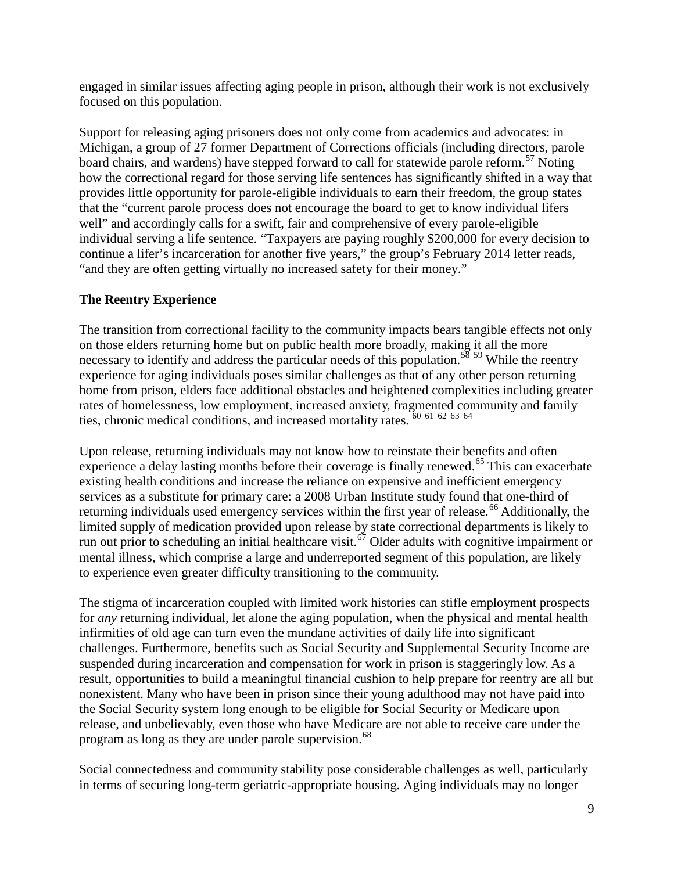engaged in similar issues affecting aging people in prison, although their work is not exclusively focused on this population.

Support for releasing aging prisoners does not only come from academics and advocates: in Michigan, a group of 27 former Department of Corrections officials (including directors, parole board chairs, and wardens) have stepped forward to call for statewide parole reform.<sup>57</sup> Noting how the correctional regard for those serving life sentences has significantly shifted in a way that provides little opportunity for parole-eligible individuals to earn their freedom, the group states that the "current parole process does not encourage the board to get to know individual lifers well" and accordingly calls for a swift, fair and comprehensive of every parole-eligible individual serving a life sentence. "Taxpayers are paying roughly \$200,000 for every decision to continue a lifer's incarceration for another five years," the group's February 2014 letter reads, "and they are often getting virtually no increased safety for their money."

# **The Reentry Experience**

The transition from correctional facility to the community impacts bears tangible effects not only on those elders returning home but on public health more broadly, making it all the more necessary to identify and address the particular needs of this population.<sup>[58](#page-17-18) [59](#page-17-19)</sup> While the reentry experience for aging individuals poses similar challenges as that of any other person returning home from prison, elders face additional obstacles and heightened complexities including greater rates of homelessness, low employment, increased anxiety, fragmented community and family ties, chronic medical conditions, and increased mortality rates.  $60\,61\,62\,63\,64$  $60\,61\,62\,63\,64$  $60\,61\,62\,63\,64$  $60\,61\,62\,63\,64$  $60\,61\,62\,63\,64$  $60\,61\,62\,63\,64$  $60\,61\,62\,63\,64$  $60\,61\,62\,63\,64$  $60\,61\,62\,63\,64$ 

Upon release, returning individuals may not know how to reinstate their benefits and often experience a delay lasting months before their coverage is finally renewed.<sup>[65](#page-17-25)</sup> This can exacerbate existing health conditions and increase the reliance on expensive and inefficient emergency services as a substitute for primary care: a 2008 Urban Institute study found that one-third of returning individuals used emergency services within the first year of release.<sup>66</sup> Additionally, the limited supply of medication provided upon release by state correctional departments is likely to run out prior to scheduling an initial healthcare visit.<sup>[67](#page-17-27)</sup> Older adults with cognitive impairment or mental illness, which comprise a large and underreported segment of this population, are likely to experience even greater difficulty transitioning to the community.

The stigma of incarceration coupled with limited work histories can stifle employment prospects for *any* returning individual, let alone the aging population, when the physical and mental health infirmities of old age can turn even the mundane activities of daily life into significant challenges. Furthermore, benefits such as Social Security and Supplemental Security Income are suspended during incarceration and compensation for work in prison is staggeringly low. As a result, opportunities to build a meaningful financial cushion to help prepare for reentry are all but nonexistent. Many who have been in prison since their young adulthood may not have paid into the Social Security system long enough to be eligible for Social Security or Medicare upon release, and unbelievably, even those who have Medicare are not able to receive care under the program as long as they are under parole supervision.<sup>68</sup>

Social connectedness and community stability pose considerable challenges as well, particularly in terms of securing long-term geriatric-appropriate housing. Aging individuals may no longer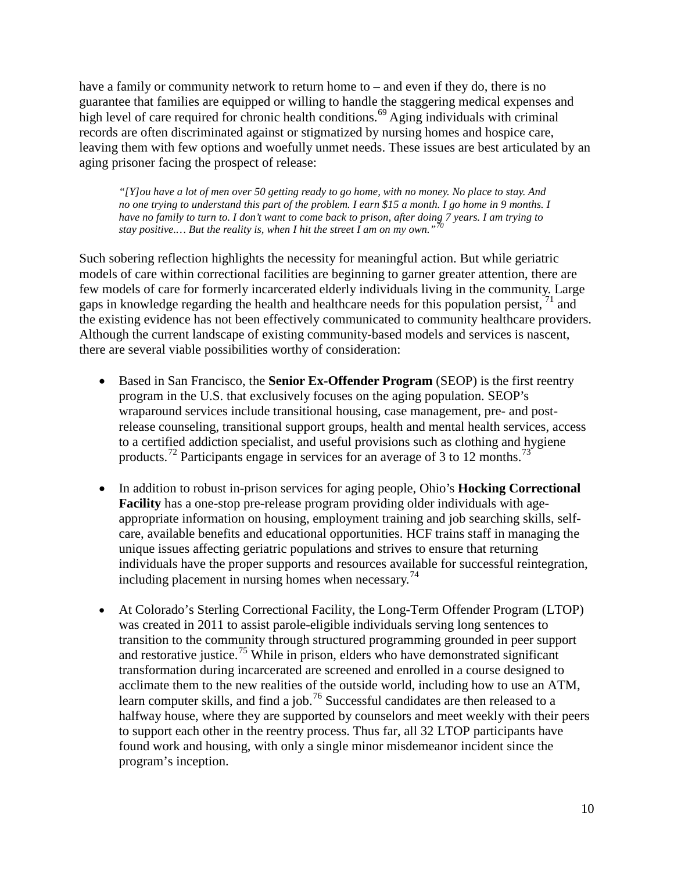have a family or community network to return home to – and even if they do, there is no guarantee that families are equipped or willing to handle the staggering medical expenses and high level of care required for chronic health conditions.<sup>[69](#page-18-1)</sup> Aging individuals with criminal records are often discriminated against or stigmatized by nursing homes and hospice care, leaving them with few options and woefully unmet needs. These issues are best articulated by an aging prisoner facing the prospect of release:

*"[Y]ou have a lot of men over 50 getting ready to go home, with no money. No place to stay. And no one trying to understand this part of the problem. I earn \$15 a month. I go home in 9 months. I have no family to turn to. I don't want to come back to prison, after doing 7 years. I am trying to stay positive.… But the reality is, when I hit the street I am on my own."[70](#page-18-2)*

Such sobering reflection highlights the necessity for meaningful action. But while geriatric models of care within correctional facilities are beginning to garner greater attention, there are few models of care for formerly incarcerated elderly individuals living in the community. Large gaps in knowledge regarding the health and healthcare needs for this population persist,  $\frac{1}{1}$  and the existing evidence has not been effectively communicated to community healthcare providers. Although the current landscape of existing community-based models and services is nascent, there are several viable possibilities worthy of consideration:

- Based in San Francisco, the **Senior Ex-Offender Program** (SEOP) is the first reentry program in the U.S. that exclusively focuses on the aging population. SEOP's wraparound services include transitional housing, case management, pre- and postrelease counseling, transitional support groups, health and mental health services, access to a certified addiction specialist, and useful provisions such as clothing and hygiene products.[72](#page-18-4) Participants engage in services for an average of 3 to 12 months.[73](#page-18-5)
- In addition to robust in-prison services for aging people, Ohio's **Hocking Correctional Facility** has a one-stop pre-release program providing older individuals with ageappropriate information on housing, employment training and job searching skills, selfcare, available benefits and educational opportunities. HCF trains staff in managing the unique issues affecting geriatric populations and strives to ensure that returning individuals have the proper supports and resources available for successful reintegration, including placement in nursing homes when necessary.<sup>[74](#page-18-6)</sup>
- At Colorado's Sterling Correctional Facility, the Long-Term Offender Program (LTOP) was created in 2011 to assist parole-eligible individuals serving long sentences to transition to the community through structured programming grounded in peer support and restorative justice.[75](#page-18-7) While in prison, elders who have demonstrated significant transformation during incarcerated are screened and enrolled in a course designed to acclimate them to the new realities of the outside world, including how to use an ATM, learn computer skills, and find a job.<sup>[76](#page-18-8)</sup> Successful candidates are then released to a halfway house, where they are supported by counselors and meet weekly with their peers to support each other in the reentry process. Thus far, all 32 LTOP participants have found work and housing, with only a single minor misdemeanor incident since the program's inception.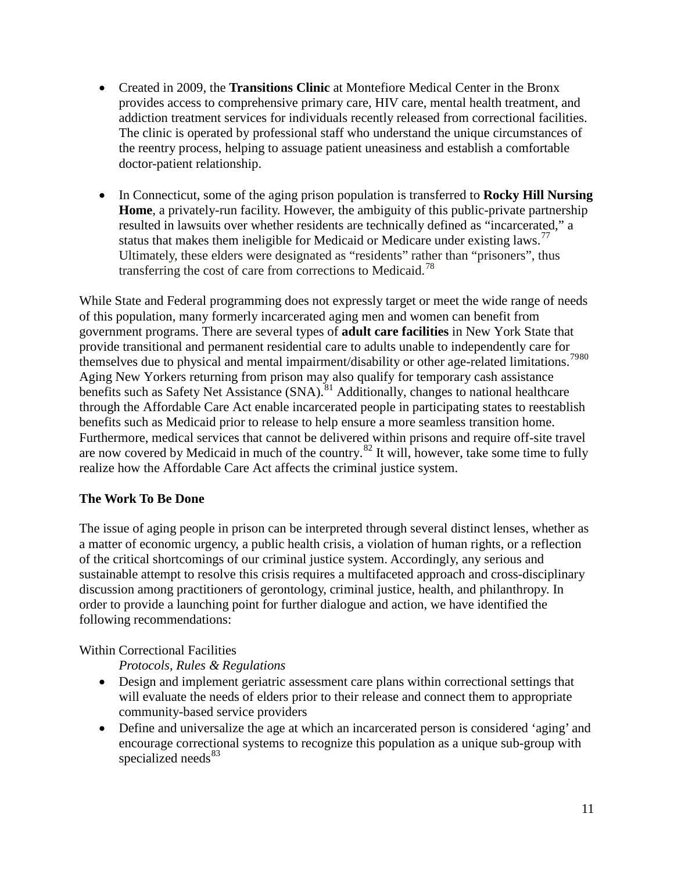- Created in 2009, the **Transitions Clinic** at Montefiore Medical Center in the Bronx provides access to comprehensive primary care, HIV care, mental health treatment, and addiction treatment services for individuals recently released from correctional facilities. The clinic is operated by professional staff who understand the unique circumstances of the reentry process, helping to assuage patient uneasiness and establish a comfortable doctor-patient relationship.
- In Connecticut, some of the aging prison population is transferred to **Rocky Hill Nursing Home**, a privately-run facility. However, the ambiguity of this public-private partnership resulted in lawsuits over whether residents are technically defined as "incarcerated," a status that makes them ineligible for Medicaid or Medicare under existing laws.<sup>[77](#page-18-9)</sup> Ultimately, these elders were designated as "residents" rather than "prisoners", thus transferring the cost of care from corrections to Medicaid.<sup>[78](#page-18-10)</sup>

While State and Federal programming does not expressly target or meet the wide range of needs of this population, many formerly incarcerated aging men and women can benefit from government programs. There are several types of **adult care facilities** in New York State that provide transitional and permanent residential care to adults unable to independently care for themselves due to physical and mental impairment/disability or other age-related limitations.<sup>[79](#page-18-11)[80](#page-18-12)</sup> Aging New Yorkers returning from prison may also qualify for temporary cash assistance benefits such as Safety Net Assistance  $(SNA)$ .<sup>[81](#page-18-13)</sup> Additionally, changes to national healthcare through the Affordable Care Act enable incarcerated people in participating states to reestablish benefits such as Medicaid prior to release to help ensure a more seamless transition home. Furthermore, medical services that cannot be delivered within prisons and require off-site travel are now covered by Medicaid in much of the country.<sup>82</sup> It will, however, take some time to fully realize how the Affordable Care Act affects the criminal justice system.

## **The Work To Be Done**

The issue of aging people in prison can be interpreted through several distinct lenses, whether as a matter of economic urgency, a public health crisis, a violation of human rights, or a reflection of the critical shortcomings of our criminal justice system. Accordingly, any serious and sustainable attempt to resolve this crisis requires a multifaceted approach and cross-disciplinary discussion among practitioners of gerontology, criminal justice, health, and philanthropy. In order to provide a launching point for further dialogue and action, we have identified the following recommendations:

## Within Correctional Facilities

*Protocols, Rules & Regulations* 

- Design and implement geriatric assessment care plans within correctional settings that will evaluate the needs of elders prior to their release and connect them to appropriate community-based service providers
- Define and universalize the age at which an incarcerated person is considered 'aging' and encourage correctional systems to recognize this population as a unique sub-group with specialized needs<sup>[83](#page-18-15)</sup>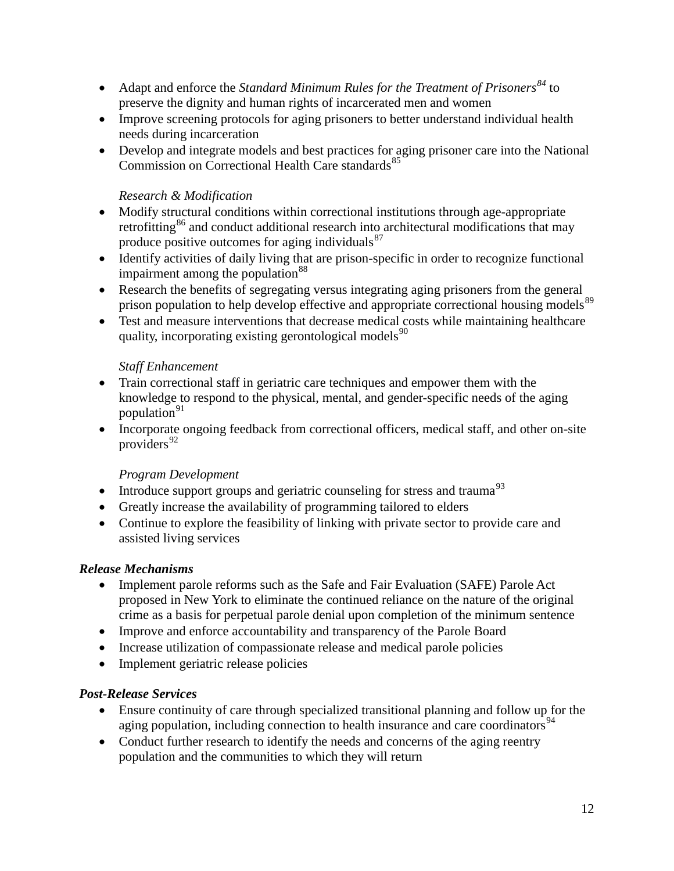- Adapt and enforce the *Standard Minimum Rules for the Treatment of Prisoners*<sup>[84](#page-18-16)</sup> to preserve the dignity and human rights of incarcerated men and women
- Improve screening protocols for aging prisoners to better understand individual health needs during incarceration
- Develop and integrate models and best practices for aging prisoner care into the National Commission on Correctional Health Care standards<sup>[85](#page-18-17)</sup>

# *Research & Modification*

- Modify structural conditions within correctional institutions through age-appropriate retrofitting<sup>86</sup> and conduct additional research into architectural modifications that may produce positive outcomes for aging individuals $87$
- Identify activities of daily living that are prison-specific in order to recognize functional impairment among the population<sup>[88](#page-18-20)</sup>
- Research the benefits of segregating versus integrating aging prisoners from the general prison population to help develop effective and appropriate correctional housing models<sup>[89](#page-18-21)</sup>
- Test and measure interventions that decrease medical costs while maintaining healthcare quality, incorporating existing gerontological models $90$

## *Staff Enhancement*

- Train correctional staff in geriatric care techniques and empower them with the knowledge to respond to the physical, mental, and gender-specific needs of the aging population $91$
- Incorporate ongoing feedback from correctional officers, medical staff, and other on-site providers<sup>[92](#page-18-24)</sup>

# *Program Development*

- Introduce support groups and geriatric counseling for stress and trauma<sup>[93](#page-18-25)</sup>
- Greatly increase the availability of programming tailored to elders
- Continue to explore the feasibility of linking with private sector to provide care and assisted living services

# *Release Mechanisms*

- Implement parole reforms such as the Safe and Fair Evaluation (SAFE) Parole Act proposed in New York to eliminate the continued reliance on the nature of the original crime as a basis for perpetual parole denial upon completion of the minimum sentence
- Improve and enforce accountability and transparency of the Parole Board
- Increase utilization of compassionate release and medical parole policies
- Implement geriatric release policies

## *Post-Release Services*

- Ensure continuity of care through specialized transitional planning and follow up for the aging population, including connection to health insurance and care coordinators<sup>[94](#page-18-26)</sup>
- Conduct further research to identify the needs and concerns of the aging reentry population and the communities to which they will return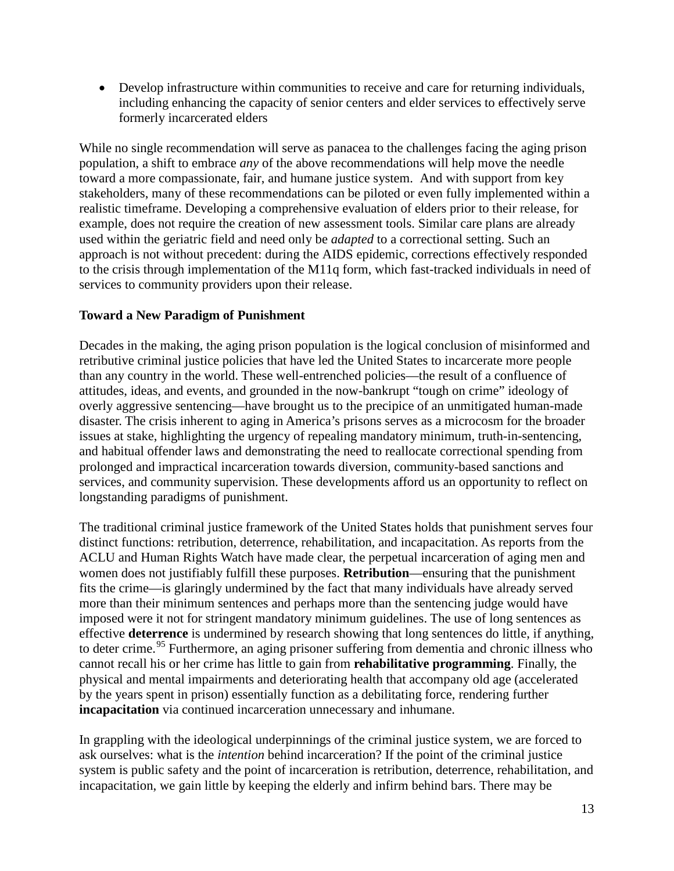• Develop infrastructure within communities to receive and care for returning individuals, including enhancing the capacity of senior centers and elder services to effectively serve formerly incarcerated elders

While no single recommendation will serve as panacea to the challenges facing the aging prison population, a shift to embrace *any* of the above recommendations will help move the needle toward a more compassionate, fair, and humane justice system. And with support from key stakeholders, many of these recommendations can be piloted or even fully implemented within a realistic timeframe. Developing a comprehensive evaluation of elders prior to their release, for example, does not require the creation of new assessment tools. Similar care plans are already used within the geriatric field and need only be *adapted* to a correctional setting. Such an approach is not without precedent: during the AIDS epidemic, corrections effectively responded to the crisis through implementation of the M11q form, which fast-tracked individuals in need of services to community providers upon their release.

## **Toward a New Paradigm of Punishment**

Decades in the making, the aging prison population is the logical conclusion of misinformed and retributive criminal justice policies that have led the United States to incarcerate more people than any country in the world. These well-entrenched policies—the result of a confluence of attitudes, ideas, and events, and grounded in the now-bankrupt "tough on crime" ideology of overly aggressive sentencing—have brought us to the precipice of an unmitigated human-made disaster. The crisis inherent to aging in America's prisons serves as a microcosm for the broader issues at stake, highlighting the urgency of repealing mandatory minimum, truth-in-sentencing, and habitual offender laws and demonstrating the need to reallocate correctional spending from prolonged and impractical incarceration towards diversion, community-based sanctions and services, and community supervision. These developments afford us an opportunity to reflect on longstanding paradigms of punishment.

The traditional criminal justice framework of the United States holds that punishment serves four distinct functions: retribution, deterrence, rehabilitation, and incapacitation. As reports from the ACLU and Human Rights Watch have made clear, the perpetual incarceration of aging men and women does not justifiably fulfill these purposes. **Retribution**—ensuring that the punishment fits the crime—is glaringly undermined by the fact that many individuals have already served more than their minimum sentences and perhaps more than the sentencing judge would have imposed were it not for stringent mandatory minimum guidelines. The use of long sentences as effective **deterrence** is undermined by research showing that long sentences do little, if anything, to deter crime.<sup>[95](#page-18-27)</sup> Furthermore, an aging prisoner suffering from dementia and chronic illness who cannot recall his or her crime has little to gain from **rehabilitative programming**. Finally, the physical and mental impairments and deteriorating health that accompany old age (accelerated by the years spent in prison) essentially function as a debilitating force, rendering further **incapacitation** via continued incarceration unnecessary and inhumane.

In grappling with the ideological underpinnings of the criminal justice system, we are forced to ask ourselves: what is the *intention* behind incarceration? If the point of the criminal justice system is public safety and the point of incarceration is retribution, deterrence, rehabilitation, and incapacitation, we gain little by keeping the elderly and infirm behind bars. There may be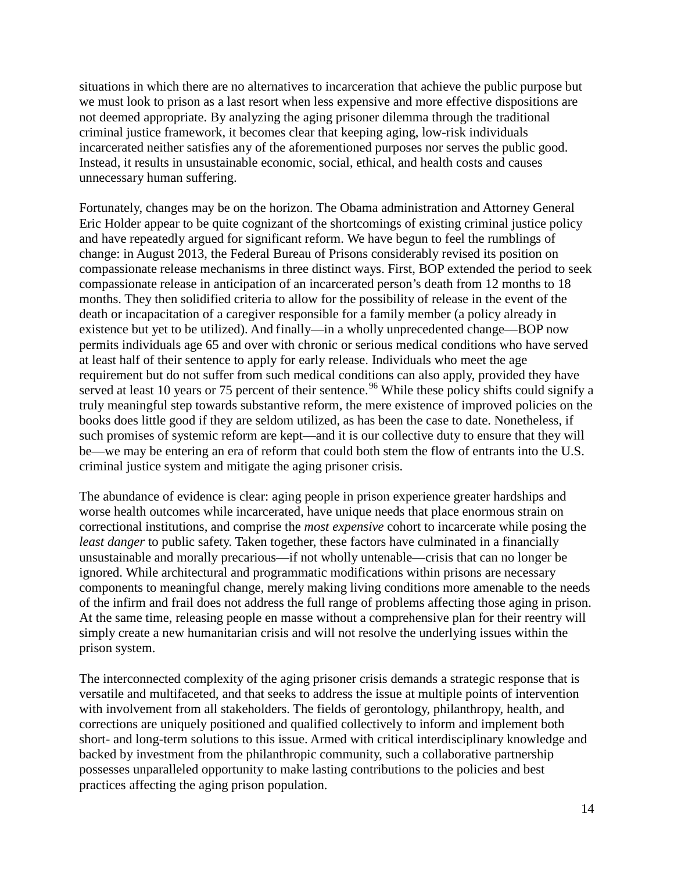situations in which there are no alternatives to incarceration that achieve the public purpose but we must look to prison as a last resort when less expensive and more effective dispositions are not deemed appropriate. By analyzing the aging prisoner dilemma through the traditional criminal justice framework, it becomes clear that keeping aging, low-risk individuals incarcerated neither satisfies any of the aforementioned purposes nor serves the public good. Instead, it results in unsustainable economic, social, ethical, and health costs and causes unnecessary human suffering.

Fortunately, changes may be on the horizon. The Obama administration and Attorney General Eric Holder appear to be quite cognizant of the shortcomings of existing criminal justice policy and have repeatedly argued for significant reform. We have begun to feel the rumblings of change: in August 2013, the Federal Bureau of Prisons considerably revised its position on compassionate release mechanisms in three distinct ways. First, BOP extended the period to seek compassionate release in anticipation of an incarcerated person's death from 12 months to 18 months. They then solidified criteria to allow for the possibility of release in the event of the death or incapacitation of a caregiver responsible for a family member (a policy already in existence but yet to be utilized). And finally—in a wholly unprecedented change—BOP now permits individuals age 65 and over with chronic or serious medical conditions who have served at least half of their sentence to apply for early release. Individuals who meet the age requirement but do not suffer from such medical conditions can also apply, provided they have served at least 10 years or 75 percent of their sentence.<sup>[96](#page-18-28)</sup> While these policy shifts could signify a truly meaningful step towards substantive reform, the mere existence of improved policies on the books does little good if they are seldom utilized, as has been the case to date. Nonetheless, if such promises of systemic reform are kept—and it is our collective duty to ensure that they will be—we may be entering an era of reform that could both stem the flow of entrants into the U.S. criminal justice system and mitigate the aging prisoner crisis.

The abundance of evidence is clear: aging people in prison experience greater hardships and worse health outcomes while incarcerated, have unique needs that place enormous strain on correctional institutions, and comprise the *most expensive* cohort to incarcerate while posing the *least danger* to public safety. Taken together, these factors have culminated in a financially unsustainable and morally precarious—if not wholly untenable—crisis that can no longer be ignored. While architectural and programmatic modifications within prisons are necessary components to meaningful change, merely making living conditions more amenable to the needs of the infirm and frail does not address the full range of problems affecting those aging in prison. At the same time, releasing people en masse without a comprehensive plan for their reentry will simply create a new humanitarian crisis and will not resolve the underlying issues within the prison system.

The interconnected complexity of the aging prisoner crisis demands a strategic response that is versatile and multifaceted, and that seeks to address the issue at multiple points of intervention with involvement from all stakeholders. The fields of gerontology, philanthropy, health, and corrections are uniquely positioned and qualified collectively to inform and implement both short- and long-term solutions to this issue. Armed with critical interdisciplinary knowledge and backed by investment from the philanthropic community, such a collaborative partnership possesses unparalleled opportunity to make lasting contributions to the policies and best practices affecting the aging prison population.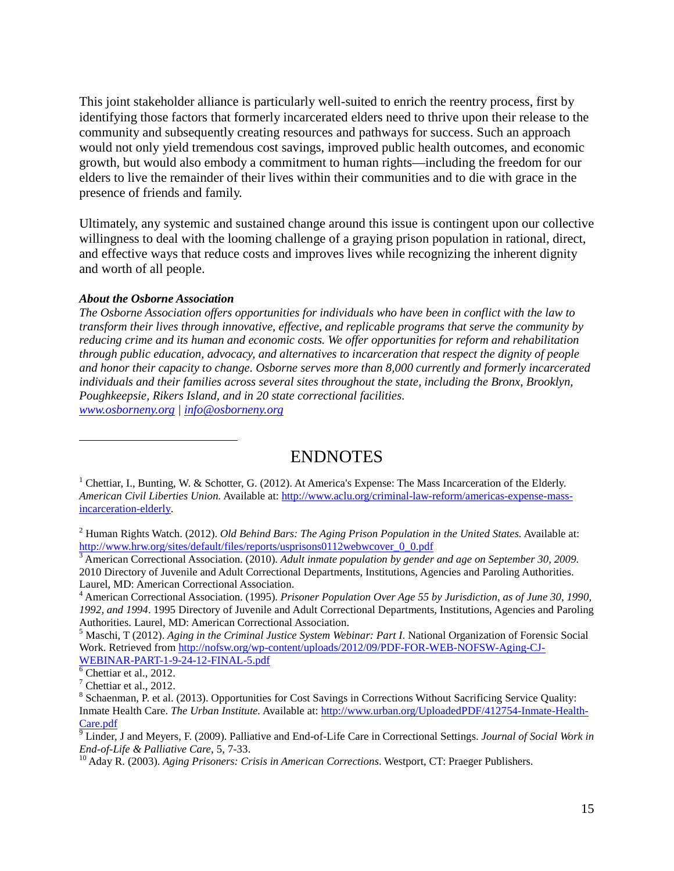This joint stakeholder alliance is particularly well-suited to enrich the reentry process, first by identifying those factors that formerly incarcerated elders need to thrive upon their release to the community and subsequently creating resources and pathways for success. Such an approach would not only yield tremendous cost savings, improved public health outcomes, and economic growth, but would also embody a commitment to human rights—including the freedom for our elders to live the remainder of their lives within their communities and to die with grace in the presence of friends and family.

Ultimately, any systemic and sustained change around this issue is contingent upon our collective willingness to deal with the looming challenge of a graying prison population in rational, direct, and effective ways that reduce costs and improves lives while recognizing the inherent dignity and worth of all people.

#### *About the Osborne Association*

*The Osborne Association offers opportunities for individuals who have been in conflict with the law to transform their lives through innovative, effective, and replicable programs that serve the community by reducing crime and its human and economic costs. We offer opportunities for reform and rehabilitation through public education, advocacy, and alternatives to incarceration that respect the dignity of people and honor their capacity to change. Osborne serves more than 8,000 currently and formerly incarcerated individuals and their families across several sites throughout the state, including the Bronx, Brooklyn, Poughkeepsie, Rikers Island, and in 20 state correctional facilities. [www.osborneny.org](http://www.osborneny.org/) | [info@osborneny.org](mailto:info@osborneny.org)*

ENDNOTES

<span id="page-15-0"></span> $\overline{a}$ 

<sup>&</sup>lt;sup>1</sup> Chettiar, I., Bunting, W. & Schotter, G. (2012). At America's Expense: The Mass Incarceration of the Elderly. *American Civil Liberties Union.* Available at: [http://www.aclu.org/criminal-law-reform/americas-expense-mass](http://www.aclu.org/criminal-law-reform/americas-expense-mass-incarceration-elderly)[incarceration-elderly.](http://www.aclu.org/criminal-law-reform/americas-expense-mass-incarceration-elderly) 

<span id="page-15-1"></span><sup>&</sup>lt;sup>2</sup> Human Rights Watch. (2012). *Old Behind Bars: The Aging Prison Population in the United States*. Available at: http://www.hrw.org/sites/default/files/reports/usprisons0112webwcover 0.0.pdf

<span id="page-15-2"></span><sup>&</sup>lt;sup>3</sup> American Correctional Association. (2010). *Adult inmate population by gender and age on September 30, 2009.* 2010 Directory of Juvenile and Adult Correctional Departments, Institutions, Agencies and Paroling Authorities. Laurel, MD: American Correctional Association.

<span id="page-15-3"></span><sup>4</sup> American Correctional Association. (1995). *Prisoner Population Over Age 55 by Jurisdiction, as of June 30, 1990, 1992, and 1994*. 1995 Directory of Juvenile and Adult Correctional Departments, Institutions, Agencies and Paroling Authorities. Laurel, MD: American Correctional Association.<br><sup>5</sup> Maschi, T (2012). *Aging in the Criminal Justice System Webinar: Part I*. National Organization of Forensic Social

<span id="page-15-4"></span>Work. Retrieved from [http://nofsw.org/wp-content/uploads/2012/09/PDF-FOR-WEB-NOFSW-Aging-CJ-](http://nofsw.org/wp-content/uploads/2012/09/PDF-FOR-WEB-NOFSW-Aging-CJ-WEBINAR-PART-1-9-24-12-FINAL-5.pdf)[WEBINAR-PART-1-9-24-12-FINAL-5.pdf](http://nofsw.org/wp-content/uploads/2012/09/PDF-FOR-WEB-NOFSW-Aging-CJ-WEBINAR-PART-1-9-24-12-FINAL-5.pdf)<br><sup>6</sup> Chettiar et al., 2012.

<span id="page-15-6"></span><span id="page-15-5"></span><sup>7</sup> Chettiar et al., 2012.

<span id="page-15-7"></span><sup>8</sup> Schaenman, P. et al. (2013). Opportunities for Cost Savings in Corrections Without Sacrificing Service Quality: Inmate Health Care. *The Urban Institute.* Available at: [http://www.urban.org/UploadedPDF/412754-Inmate-Health-](http://www.urban.org/UploadedPDF/412754-Inmate-Health-Care.pdf)

<span id="page-15-8"></span>[Care.pdf 9](http://www.urban.org/UploadedPDF/412754-Inmate-Health-Care.pdf) Linder, J and Meyers, F. (2009). Palliative and End-of-Life Care in Correctional Settings. *Journal of Social Work in* 

<span id="page-15-9"></span><sup>&</sup>lt;sup>10</sup> Adav R. (2003). *Aging Prisoners: Crisis in American Corrections*. Westport, CT: Praeger Publishers.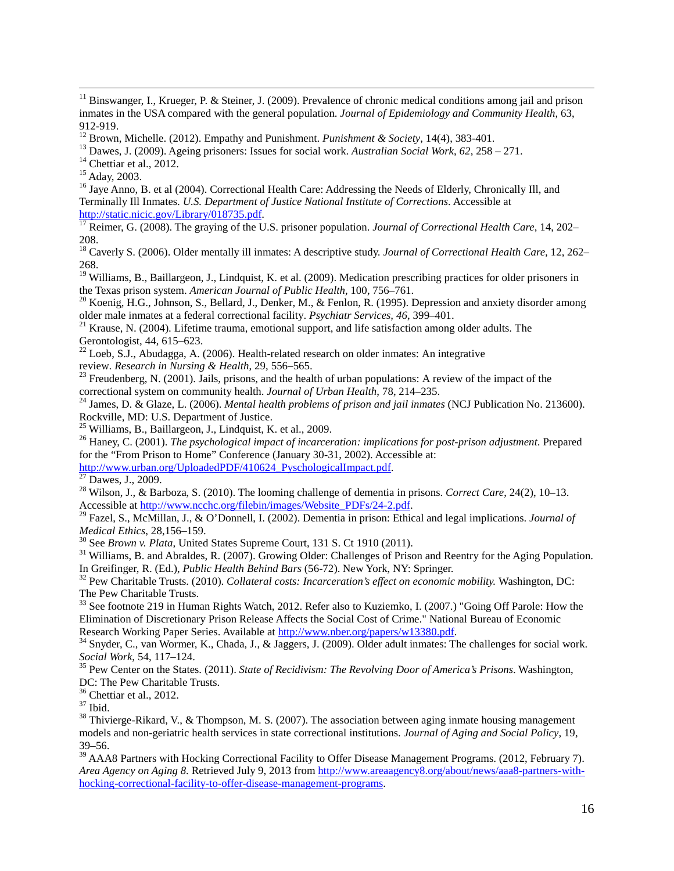<span id="page-16-3"></span>

<span id="page-16-7"></span><sup>18</sup> Caverly S. (2006). Older mentally ill inmates: A descriptive study. *Journal of Correctional Health Care,* 12, 262– 268.

<span id="page-16-8"></span><sup>19</sup> Williams, B., Baillargeon, J., Lindquist, K. et al. (2009). Medication prescribing practices for older prisoners in the Texas prison system. *American Journal of Public Health*, 100, 756–761.

<span id="page-16-9"></span><sup>20</sup> Koenig, H.G., Johnson, S., Bellard, J., Denker, M., & Fenlon, R. (1995). Depression and anxiety disorder among older male inmates at a federal correctional facility. *Psychiatr Services*, 46, 399–401.

<span id="page-16-10"></span><sup>21</sup> Krause, N. (2004). Lifetime trauma, emotional support, and life satisfaction among older adults. The Gerontologist, 44, 615–623.

<span id="page-16-11"></span><sup>22</sup> Loeb, S.J., Abudagga, A. (2006). Health-related research on older inmates: An integrative review. *Research in Nursing & Health*, 29, 556–565.

<span id="page-16-12"></span><sup>23</sup> Freudenberg, N. (2001). Jails, prisons, and the health of urban populations: A review of the impact of the correctional system on community health. *Journal of Urban Health*, 78, 214–235.<br><sup>24</sup> James, D. & Glaze, L. (2006). *Mental health problems of prison and jail inmates* (NCJ Publication No. 213600).

<span id="page-16-13"></span>Rockville, MD: U.S. Department of Justice.<br><sup>25</sup> Williams, B., Baillargeon, J., Lindquist, K. et al., 2009.

<span id="page-16-14"></span>

<span id="page-16-15"></span><sup>26</sup> Haney, C. (2001). *The psychological impact of incarceration: implications for post-prison adjustment*. Prepared for the "From Prison to Home" Conference (January 30-31, 2002). Accessible at:

<span id="page-16-16"></span>http://www.urban.org/UploadedPDF/410624\_PyschologicalImpact.pdf.<br><sup>27</sup> Dawes, J., 2009.<br><sup>28</sup> Wilson, J., & Barboza, S. (2010). The looming challenge of dementia in prisons. *Correct Care*, 24(2), 10–13.

<span id="page-16-18"></span><span id="page-16-17"></span>Accessible at [http://www.ncchc.org/filebin/images/Website\\_PDFs/24-2.pdf.](http://www.ncchc.org/filebin/images/Website_PDFs/24-2.pdf) <sup>29</sup> Fazel, S., McMillan, J., & O'Donnell, I. (2002). Dementia in prison: Ethical and legal implications. *Journal of Medical Ethics*, 28,156–159.

<span id="page-16-20"></span><span id="page-16-19"></span><sup>30</sup> See *Brown v. Plata*, United States Supreme Court, 131 S. Ct 1910 (2011).<br><sup>31</sup> Williams, B. and Abraldes, R. (2007). Growing Older: Challenges of Prison and Reentry for the Aging Population.<br>In Greifinger, R. (Ed.),

<span id="page-16-21"></span><sup>32</sup> Pew Charitable Trusts. (2010). *Collateral costs: Incarceration's effect on economic mobility*. Washington, DC: The Pew Charitable Trusts.

<span id="page-16-22"></span><sup>33</sup> See footnote 219 in Human Rights Watch, 2012. Refer also to Kuziemko, I. (2007.) "Going Off Parole: How the Elimination of Discretionary Prison Release Affects the Social Cost of Crime." National Bureau of Economic Research Working Paper Series. Available at http://www.nber.org/papers/w13380.pdf.

<span id="page-16-23"></span><sup>34</sup> Snyder, C., van Wormer, K., Chada, J., & Jaggers, J. (2009). Older adult inmates: The challenges for social work. *Social Work*, 54, 117–124. <sup>35</sup> Pew Center on the States. (2011). *State of Recidivism: The Revolving Door of America's Prisons*. Washington,

<span id="page-16-24"></span>DC: The Pew Charitable Trusts.<br><sup>36</sup> Chettiar et al., 2012.

<span id="page-16-27"></span><span id="page-16-26"></span><span id="page-16-25"></span><sup>37</sup> Ibid. **38** Thivierge-Rikard, V., & Thompson, M. S. (2007). The association between aging inmate housing management models and non-geriatric health services in state correctional institutions. *Journal of Aging and Social Policy*, 19, 39–56.

<span id="page-16-28"></span><sup>39</sup> AAA8 Partners with Hocking Correctional Facility to Offer Disease Management Programs. (2012, February 7). *Area Agency on Aging 8*. Retrieved July 9, 2013 from [http://www.areaagency8.org/about/news/aaa8-partners-with](http://www.areaagency8.org/about/news/aaa8-partners-with-hocking-correctional-facility-to-offer-disease-management-programs)[hocking-correctional-facility-to-offer-disease-management-programs.](http://www.areaagency8.org/about/news/aaa8-partners-with-hocking-correctional-facility-to-offer-disease-management-programs)

<span id="page-16-0"></span><sup>&</sup>lt;sup>11</sup> Binswanger, I., Krueger, P. & Steiner, J. (2009). Prevalence of chronic medical conditions among jail and prison inmates in the USA compared with the general population. *Journal of Epidemiology and Community Health*, 63, 912-919.<br>
<sup>12</sup> Brown, Michelle. (2012). Empathy and Punishment. *Punishment* & *Society*, 14(4), 383-401.<br>
<sup>13</sup> Dawes, J. (2009). Ageing prisoners: Issues for social work. *Australian Social Work*, 62, 258 – 271.<br>
<sup>14</sup> Ch

<span id="page-16-1"></span>

<span id="page-16-2"></span>

<span id="page-16-4"></span>

<span id="page-16-5"></span>Terminally Ill Inmates. *U.S. Department of Justice National Institute of Corrections*. Accessible at

<span id="page-16-6"></span> $\frac{17}{17}$  $\frac{17}{17}$  $\frac{17}{17}$  Reimer, G. (2008). The graying of the U.S. prisoner population. *Journal of Correctional Health Care*, 14, 202– 208.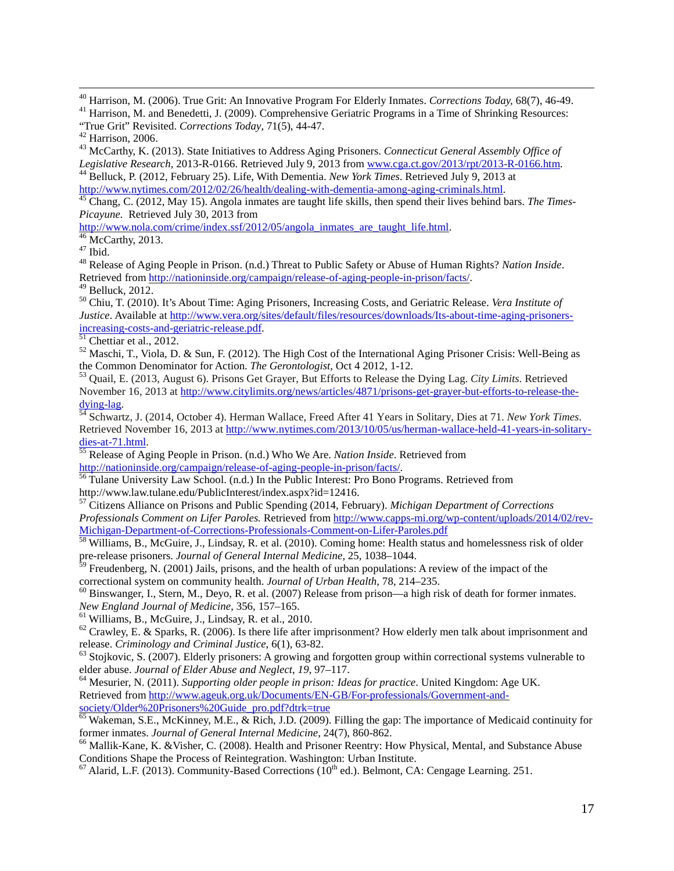<span id="page-17-0"></span><sup>40</sup> Harrison, M. (2006). True Grit: An Innovative Program For Elderly Inmates. Corrections Today, 68(7), 46-49.<br><sup>41</sup> Harrison, M. and Benedetti, J. (2009). Comprehensive Geriatric Programs in a Time of Shrinking Resource

<span id="page-17-1"></span>

True Grit" Revisited. *Corrections Today*, 71(5), 44-47.<br><sup>42</sup> Harrison, 2006.<br><sup>43</sup> McCarthy, K. (2013). State Initiatives to Address Aging Prisoners. *Connecticut General Assembly Office of*<br>*Legislative Research*, 2013-R-

<span id="page-17-4"></span><sup>44</sup> Belluck, P. (2012, February 25). Life, With Dementia. *New York Times*. Retrieved July 9, 2013 at http://www.nytimes.com/2012/02/26/health/dealing-with-dementia-among-aging-criminals.html.

<span id="page-17-5"></span><sup>[45](http://www.nytimes.com/2012/02/26/health/dealing-with-dementia-among-aging-criminals.html)</sup> Chang, C. (2012, May 15). Angola inmates are taught life skills, then spend their lives behind bars. *The Times-Picayune.* Retrieved July 30, 2013 from

<span id="page-17-8"></span><span id="page-17-7"></span>

<span id="page-17-6"></span>[http://www.nola.com/crime/index.ssf/2012/05/angola\\_inmates\\_are\\_taught\\_life.html.](http://www.nola.com/crime/index.ssf/2012/05/angola_inmates_are_taught_life.html)<br><sup>[46](http://www.nola.com/crime/index.ssf/2012/05/angola_inmates_are_taught_life.html)</sup> McCarthy, 2013.<br><sup>47</sup> Ibid.<br><sup>48</sup> Release of Aging People in Prison. (n.d.) Threat to Public Safety or Abuse of Human Rights? Nation Insid

<span id="page-17-10"></span><span id="page-17-9"></span><sup>49</sup> Belluck, 2012.<br><sup>50</sup> Chiu, T. (2010). It's About Time: Aging Prisoners, Increasing Costs, and Geriatric Release. *Vera Institute of Justice*. Available at http://www.vera.org/sites/default/files/resources/downloads/Its-about-time-aging-prisoners-<br>increasing-costs-and-geriatric-release.pdf.

<span id="page-17-12"></span><span id="page-17-11"></span><sup>[51](http://www.vera.org/sites/default/files/resources/downloads/Its-about-time-aging-prisoners-increasing-costs-and-geriatric-release.pdf)</sup> Chettiar et al., 2012.<br><sup>52</sup> Maschi, T., Viola, D. & Sun, F. (2012). The High Cost of the International Aging Prisoner Crisis: Well-Being as the Common Denominator for Action. *The Gerontologist*, Oct 4 2012, 1-12.

<span id="page-17-13"></span><sup>53</sup> Quail, E. (2013, August 6). Prisons Get Grayer, But Efforts to Release the Dying Lag. *City Limits*. Retrieved November 16, 2013 at http://www.citylimits.org/news/articles/4871/prisons-get-grayer-but-efforts-to-release-the-<br>dying-lag.

<span id="page-17-14"></span><sup>54</sup> Schwartz, J. (2014, October 4). Herman Wallace, Freed After 41 Years in Solitary, Dies at 71. *New York Times*. Retrieved November 16, 2013 at http://www.nytimes.com/2013/10/05/us/herman-wallace-held-41-years-in-solitary-<br>dies-at-71.html.

<span id="page-17-15"></span><sup>[55](http://www.nytimes.com/2013/10/05/us/herman-wallace-held-41-years-in-solitary-dies-at-71.html)</sup> Release of Aging People in Prison. (n.d.) Who We Are. *Nation Inside*. Retrieved from [http://nationinside.org/campaign/release-of-aging-people-in-prison/facts/.](http://nationinside.org/campaign/release-of-aging-people-in-prison/facts/)<br>
<sup>[56](http://nationinside.org/campaign/release-of-aging-people-in-prison/facts/)</sup> Tulane University Law School. (n.d.) In the Public Interest: Pro Bono Programs. Retrieved from

<span id="page-17-16"></span>http://www.law.tulane.edu/PublicInterest/index.aspx?id=12416.

<span id="page-17-17"></span><sup>57</sup> Citizens Alliance on Prisons and Public Spending (2014, February). *Michigan Department of Corrections Professionals Comment on Lifer Paroles.* Retrieved from [http://www.capps-mi.org/wp-content/uploads/2014/02/rev-](http://www.capps-mi.org/wp-content/uploads/2014/02/rev-Michigan-Department-of-Corrections-Professionals-Comment-on-Lifer-Paroles.pdf)Michigan-Department-of-Corrections-Professionals-Comment-on-Lifer-Paroles.pdf<br><sup>58</sup> Williams, B., McGuire, J., Lindsay, R. et al. (2010). Coming home: Health status and homelessness risk of older

<span id="page-17-18"></span>pre-release prisoners. *Journal of General Internal Medicine*, 25, 1038–1044.

<span id="page-17-19"></span> $59$  Freudenberg, N. (2001) Jails, prisons, and the health of urban populations: A review of the impact of the correctional system on community health. *Journal of Urban Health*, 78, 214–235.

<span id="page-17-20"></span><sup>60</sup> Binswanger, I., Stern, M., Deyo, R. et al. (2007) Release from prison—a high risk of death for former inmates.<br>New England Journal of Medicine, 356, 157–165.

<span id="page-17-21"></span><sup>61</sup> Williams, B., McGuire, J., Lindsay, R. et al., 2010.<br><sup>62</sup> Crawley, E. & Sparks, R. (2006). Is there life after imprisonment? How elderly men talk about imprisonment and

<span id="page-17-23"></span><span id="page-17-22"></span>release. *Criminology and Criminal Justice*, 6(1), 63-82.<br><sup>63</sup> Stojkovic, S. (2007). Elderly prisoners: A growing and forgotten group within correctional systems vulnerable to elder abuse. *Journal of Elder Abuse and Negle* 

<span id="page-17-24"></span><sup>64</sup> Mesurier, N. (2011). *Supporting older people in prison: Ideas for practice*. United Kingdom: Age UK. Retrieved from http://www.ageuk.org.uk/Documents/EN-GB/For-professionals/Government-and-<br>society/Older%20Prisoners%20Guide\_pro.pdf?dtrk=true

<span id="page-17-25"></span><sup>65</sup> Wakeman, S.E., McKinney, M.E., & Rich, J.D. (2009). Filling the gap: The importance of Medicaid continuity for former inmates. *Journal of General Internal Medicine*, 24(7), 860-862.

<span id="page-17-26"></span><sup>66</sup> Mallik-Kane, K. &Visher, C. (2008). Health and Prisoner Reentry: How Physical, Mental, and Substance Abuse Conditions Shape the Process of Reintegration. Washington: Urban Institute.  $\frac{67}{12}$  Alarid, L.F. (2013). Community-Based Corrections (10<sup>th</sup> ed.). Belmont, CA: Cengage Learning. 251.

<span id="page-17-27"></span>

<span id="page-17-3"></span><span id="page-17-2"></span>